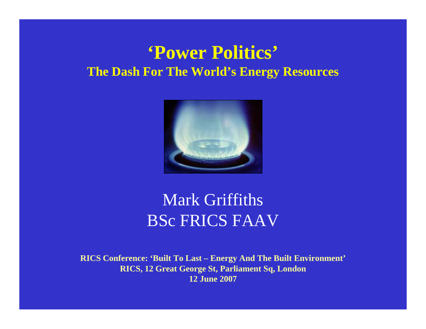#### **'Power Politics' The Dash For The World's Energy Resources**



### Mark Griffiths BSc FRICS FAAV

**RICS Conference: 'Built To Last – Energy And The Built Environment' RICS, 12 Great George St, Parliament Sq, London 12 June 2007**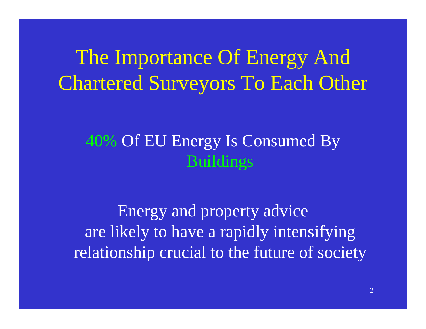The Importance Of Energy And Chartered Surveyors To Each Other

### 40% Of EU Energy Is Consumed By Buildings

Energy and property advice are likely to have a rapidly intensifying relationship crucial to the future of society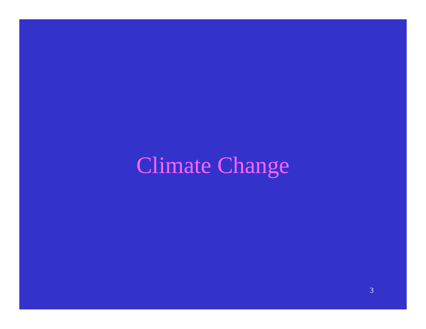# Climate Change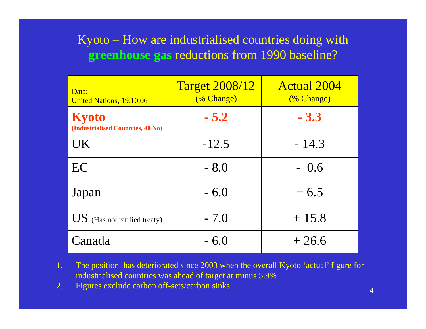#### Kyoto – How are industrialised countries doing with **greenhouse gas** reductions from 1990 baseline?

| Data:<br><b>United Nations, 19.10.06</b>          | <b>Target 2008/12</b><br>(% Change) | <b>Actual 2004</b><br>(% Change) |
|---------------------------------------------------|-------------------------------------|----------------------------------|
| <b>Kyoto</b><br>(Industrialised Countries, 40 No) | $-5.2$                              | $-3.3$                           |
| UK                                                | $-12.5$                             | $-14.3$                          |
| EC                                                | $-8.0$                              | $-0.6$                           |
| Japan                                             | $-6.0$                              | $+6.5$                           |
| $\overline{US}$ (Has not ratified treaty)         | $-7.0$                              | $+15.8$                          |
| Canada                                            | $-6.0$                              | $+26.6$                          |

- 1. The position has deteriorated since 2003 when the overall Kyoto 'actual' figure for industrialised countries was ahead of target at minus 5.9%
- 2.Figures exclude carbon off-sets/carbon sinks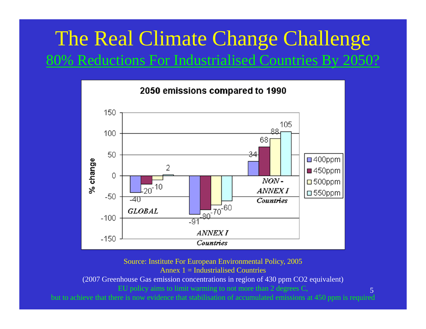### The Real Climate Change Challenge 80% Reductions For Industrialised Countries By 2050?



Source: Institute For European Environmental Policy, 2005 Annex  $1 =$  Industrialised Countries

(2007 Greenhouse Gas emission concentrations in region of 430 ppm CO2 equivalent)

EU policy aims to limit warming to not more than 2 degrees C,

but to achieve that there is now evidence that stabilisation of accumulated emissions at 450 ppm is required

5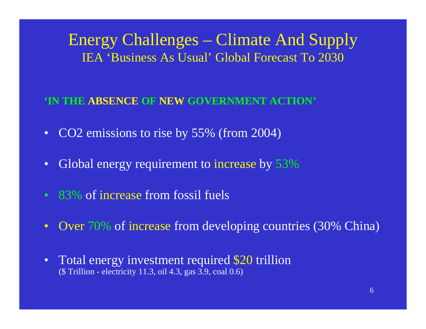Energy Challenges – Climate And Supply IEA 'Business As Usual' Global Forecast To 2030

#### **'IN THE ABSENCE OF NEW GOVERNMENT ACTION'**

- $\bullet$ CO2 emissions to rise by 55% (from 2004)
- $\bullet$ Global energy requirement to increase by 53%
- 83% of increase from fossil fuels
- $\bullet$ • Over 70% of increase from developing countries (30% China)
- $\bullet$  Total energy investment required \$20 trillion (\$ Trillion - electricity 11.3, oil 4.3, gas 3.9, coal 0.6)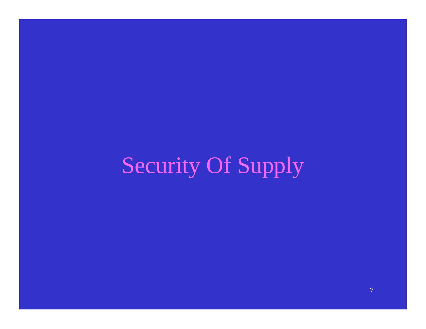Security Of Supply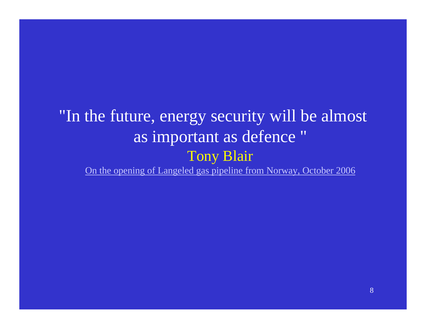### "In the future, energy security will be almost as important as defence " Tony Blair

[On the opening of Langeled gas pipeline from Norway, October 2006](http://news.independent.co.uk/business/news/article1879432.ece)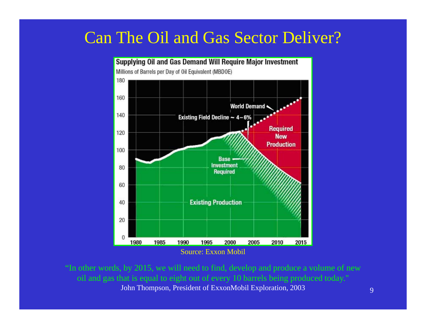#### Can The Oil and Gas Sector Deliver?



"In other words, by 2015, we will need to find, develop and produce a volume of new oil and gas that is equal to eight out of every 10 barrels being produced today." John Thompson, President of ExxonMobil Exploration, 2003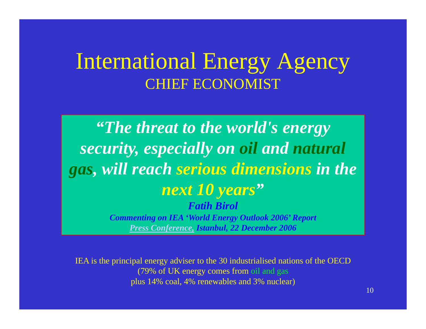## International Energy Agency CHIEF ECONOMIST

*"The threat to the world's energy security, especially on oil and natural gas, will reach serious dimensions in the next 10 years "Fatih BirolCommenting on IEA 'World Energy Outlook 2006' Report [Press Conference,](http://www.turkishdailynews.com.tr/article.php?enewsid=62496) Istanbul, 22 December 2006*

IEA is the principal energy adviser to the 30 industrialised nations of the OECD (79% of UK energy comes from oil and gas plus 14% coal, 4% renewables and 3% nuclear)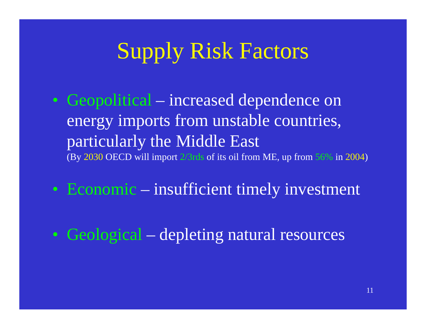# Supply Risk Factors

- Geopolitical increased dependence on energy imports from unstable countries, particularly the Middle East (By 2030 OECD will import 2/3rds of its oil from ME, up from 56% in 2004 )
- Economic insufficient timely investment
- Geological depleting natural resources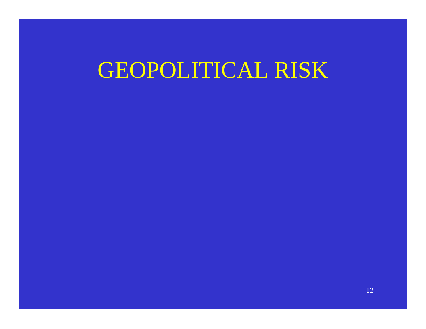## GEOPOLITICAL RISK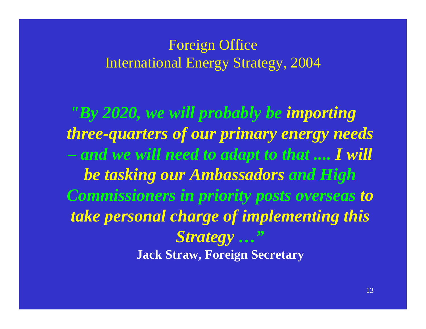#### Foreign Office International Energy Strategy, 2004

*"By 2020, we will probably be importing three-quarters of our primary energy needs and we will need to adapt to that .... I will be tasking our Ambassadors and High Commissioners in priority posts overseas to take personal charge of implementing this Strategy …"* **Jack Straw, Foreign Secretary**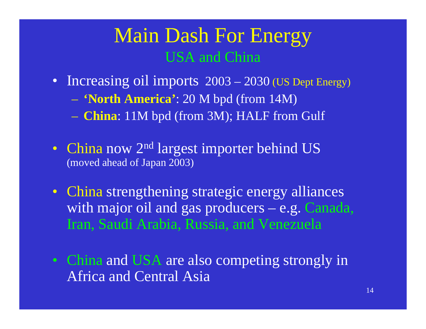### Main Dash For Energy USA and China

- Increasing oil imports 2003 2030 (US Dept Energy)
	- $\mathcal{L}_{\mathcal{A}}$ **'North America'**: 20 M bpd (from 14M)
	- **China**: 11M bpd (from 3M); HALF from Gulf
- China now 2<sup>nd</sup> largest importer behind US (moved ahead of Japan 2003)
- China strengthening strategic energy alliances with major oil and gas producers – e.g. Canada, Iran, Saudi Arabia, Russia, and Venezuela
- China and USA are also competing strongly in Africa and Central Asia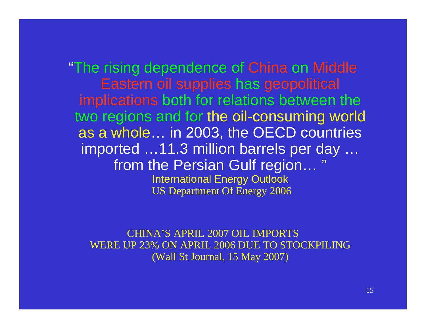"The rising dependence of China on Middle Eastern oil supplies has geopolitical implications both for relations between the two regions and for the oil-consuming world as a whole… in 2003, the OECD countries imported …11.3 million barrels per day … from the Persian Gulf region… " International Energy Outlook US Department Of Energy 2006

CHINA'S APRIL 2007 OIL IMPORTSWERE UP 23% ON APRIL 2006 DUE TO STOCKPILING(Wall St Journal, 15 May 2007)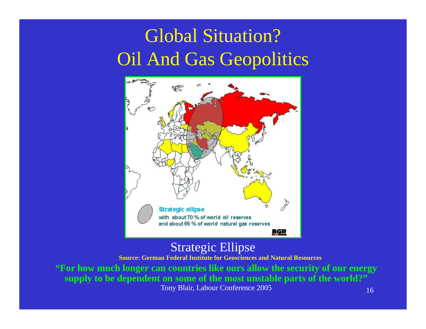## Global Situation? Oil And Gas Geopolitics



#### Strategic Ellipse

**Source: German Federal Institute for Geosciences and Natural Resources**

**"For how much longer can countries like ours allow the security of our energy supply to be dependent on some of the most unstable parts of the world?"** Tony Blair, Labour Conference 2005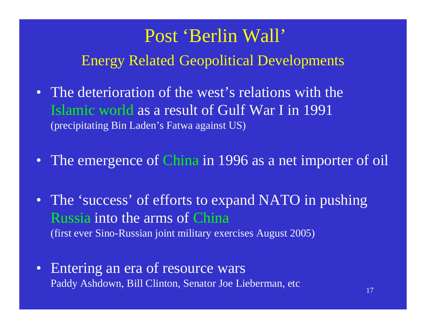## Post 'Berlin Wall' Energy Related Geopolitical Developments

- The deterioration of the west's relations with the Islamic world as a result of Gulf War I in 1991 (precipitating Bin Laden's Fatwa against US)
- The emergence of China in 1996 as a net importer of oil
- The 'success' of efforts to expand NATO in pushing Russia into the arms of China (first ever Sino-Russian joint military exercises August 2005)
- Entering an era of resource wars Paddy Ashdown, Bill Clinton, Senator Joe Lieberman, etc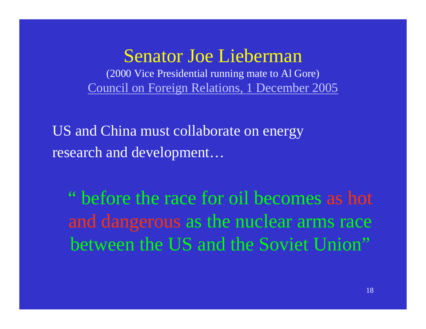### Senator Joe Lieberman

(2000 Vice Presidential running mate to Al Gore) [Council on Foreign Relations, 1 December 2005](http://usinfo.state.gov/eap/Archive/2005/Dec/02-226287.html)

US and China must collaborate on energy research and development…

" before the race for oil becomes as hot and dangerous as the nuclear arms race between the US and the Soviet Union"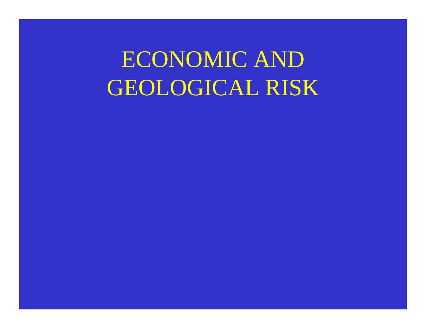ECONOMIC AND GEOLOGICAL RISK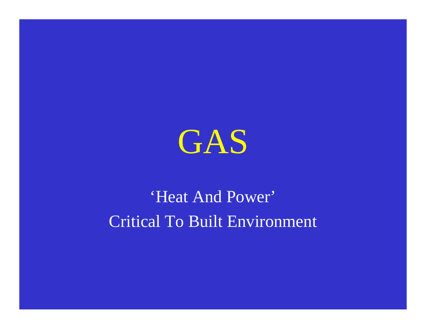

## 'Heat And Power' Critical To Built Environment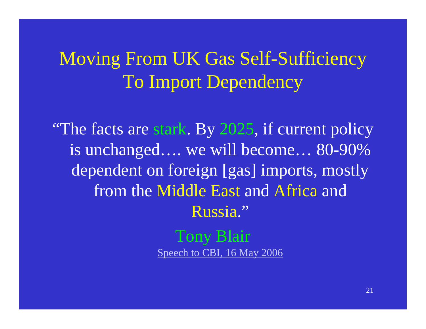Moving From UK Gas Self-Sufficiency To Import Dependency

"The facts are stark. By 2025, if current policy" is unchanged…. we will become… 80-90% dependent on foreign [gas] imports, mostly from the Middle East and Africa and Russia."

> Tony Blair [Speech to CBI, 16 May 2006](http://www.pm.gov.uk/output/Page9472.asp)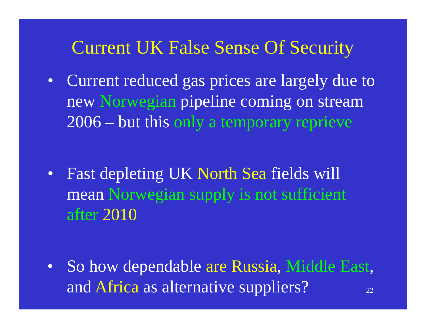## Current UK False Sense Of Security

 $\bullet$  Current reduced gas prices are largely due to new Norwegian pipeline coming on stream 2006 – but this only a temporary reprieve

 $\bullet$  Fast depleting UK North Sea fields will mean Norwegian supply is not sufficient after 2010

22 $\bullet$  So how dependable are Russia, Middle East, and Africa as alternative suppliers?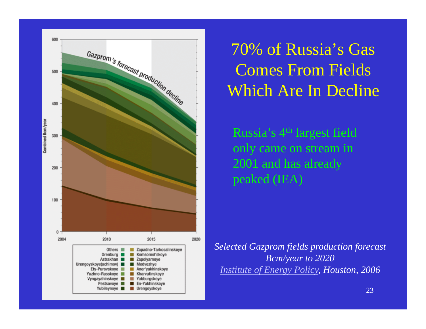

70% of Russia's Gas Comes From Fields Which Are In Decline

Russia's 4<sup>th</sup> largest field only came on stream in 2001 and has already peaked (IEA)

*Selected Gazprom fields production forecast Bcm/year to 2020 [Institute of Energy Policy,](http://www.energytribune.com/articles.cfm?aid=379) Houston, 2006*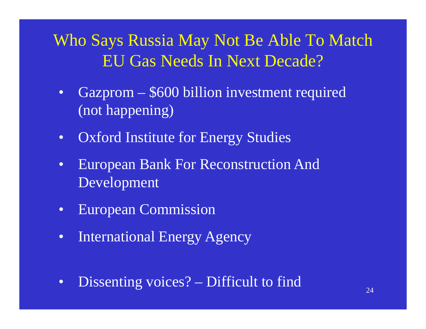### Who Says Russia May Not Be Able To Match EU Gas Needs In Next Decade?

- $\bullet$  Gazprom – \$600 billion investment required (not happening)
- $\bullet$ Oxford Institute for Energy Studies
- $\bullet$  European Bank For Reconstruction And Development
- $\bullet$ European Commission
- $\bullet$ International Energy Agency
- $\bullet$ Dissenting voices? – Difficult to find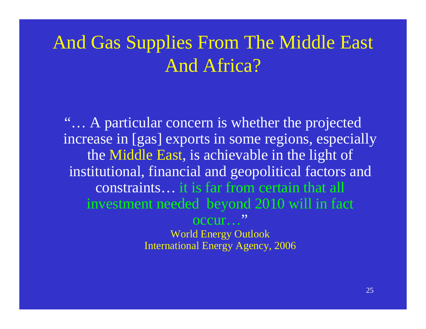## And Gas Supplies From The Middle East And Africa?

"... A particular concern is whether the projected increase in [gas] exports in some regions, especially the Middle East, is achievable in the light of institutional, financial and geopolitical factors and constraints… it is far from certain that all investment needed beyond 2010 will in fact occur…"World Energy Outlook International Energy Agency, 2006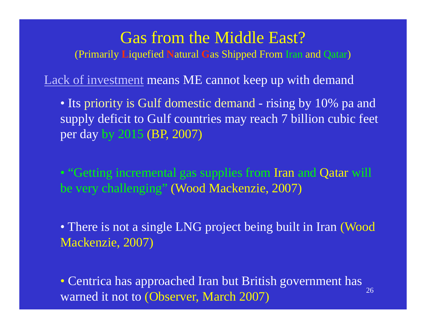#### Gas from the Middle East?

(Primarily **L**iquefied **N**atural **G**as Shipped From Iran and Qatar )

[Lack of investment](http://archive.gulfnews.com/business/Oil_and_Gas/10116507.html) means ME cannot keep up with demand

• Its priority is Gulf domestic demand - rising by 10% pa and supply deficit to Gulf countries may reach 7 billion cubic feet per day by 2015 (BP, 2007)

• "Getting incremental gas supplies from Iran and Qatar will be very challenging" (Wood Mackenzie, 2007)

• There is not a single LNG project being built in Iran (Wood Mackenzie, 2007)

26• Centrica has approached Iran but British government has warned it not to (Observer, March 2007)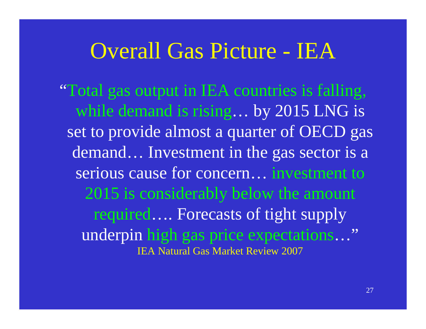## Overall Gas Picture - IEA

"Total gas output in IEA countries is falling, while demand is rising… by 2015 LNG is set to provide almost a quarter of OECD gas demand… Investment in the gas sector is a serious cause for concern… investment to 2015 is considerably below the amount required…. Forecasts of tight supply underpin high gas price expectations…" IEA Natural Gas Market Review 2007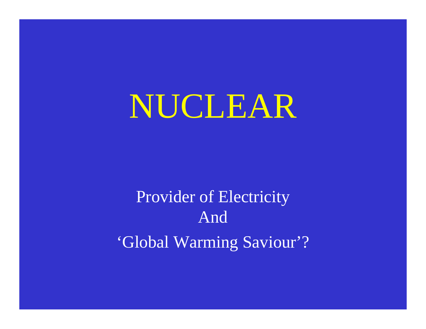# NUCLEAR

## Provider of Electricity And'Global Warming Saviour'?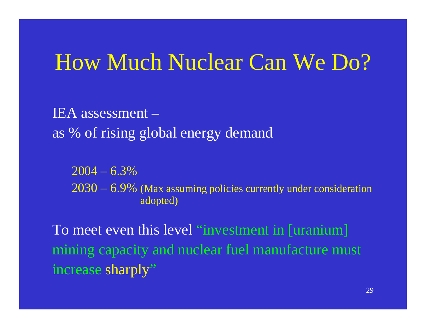## How Much Nuclear Can We Do?

IEA assessment –as % of rising global energy demand

 $2004 - 6.3\%$ 2030 – 6.9% (Max assuming policies currently under consideration adopted)

To meet even this level "investment in [uranium] mining capacity and nuclear fuel manufacture must increase sharply "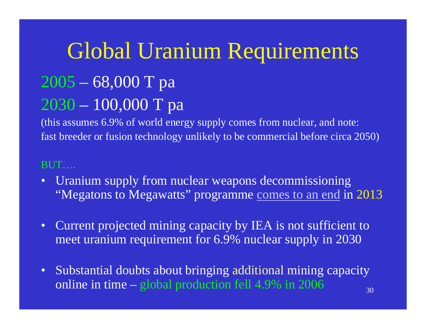# Global Uranium Requirements

### 2005 – 68,000 T pa 2030 – 100,000 T pa

(this assumes 6.9% of world energy supply comes from nuclear, and note: fast breeder or fusion technology unlikely to be commercial before circa 2050)

#### BUT….

- Uranium supply from nuclear weapons decommissioning "Megatons to Megawatts" programme [comes to an end](http://www.ransac.org/Projects and Publications/News/Nuclear News/6172004113734AM.html) in 2013
- $\bullet$  Current projected mining capacity by IEA is not sufficient to meet uranium requirement for 6.9% nuclear supply in 2030
- $\bullet$  Substantial doubts about bringing additional mining capacity online in time – global production fell 4.9% in 2006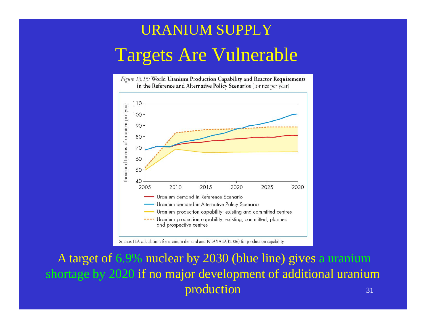## URANIUM SUPPLYTargets Are Vulnerable



Source: IEA calculations for uranium demand and NEA/IAEA (2006) for production capability.

31A target of 6.9% nuclear by 2030 (blue line) gives a uranium shortage by 2020 if no major development of additional uranium production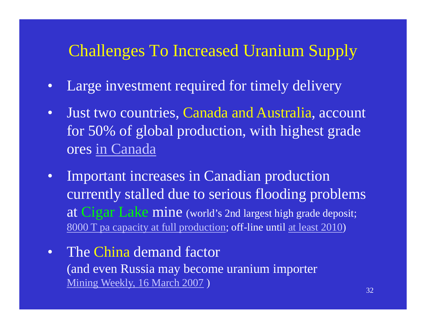### Challenges To Increased Uranium Supply

- $\bullet$ Large investment required for timely delivery
- $\bullet$  Just two countries, Canada and Australia, account for 50% of global production, with highest grade ores [in Canada](http://www.cameco.com/uranium_101/uranium_science/uranium/)
- $\bullet$  Important increases in Canadian production currently stalled due to serious flooding problems at Cigar Lake mine (world's 2nd largest high grade deposit; [8000 T pa capacity at full production](http://www.cri.ca/publications/steps2001/op_joints.html); off-line until [at least 2010](http://www.bloomberg.com/apps/news?pid=20601082&sid=ajq9ZHtjqi.U) )
- $\bullet$  The China demand factor (and even Russia may become uranium importer [Mining Weekly, 16 March 2007](http://www.miningweekly.co.za/article.php?a_id=105237) )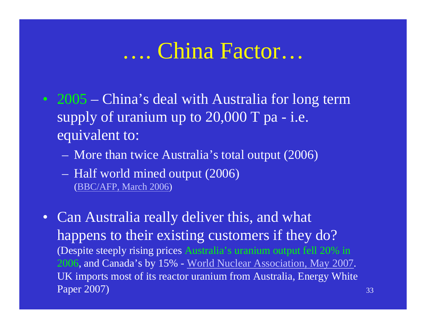## …. China Factor…

- 2005 China's deal with Australia for long term supply of uranium up to 20,000 T pa - i.e. equivalent to:
	- **London Maria (1985)** More than twice Australia's total output (2006)
	- $\mathcal{L}_{\mathcal{A}}$  Half world mined output (2006) ([BBC/AFP, March 2006](http://news.bbc.co.uk/1/hi/world/asia-pacific/4871000.stm) )
- Can Australia really deliver this, and what happens to their existing customers if they do? (Despite steeply rising prices Australia's uranium output fell 20% in 2006, and Canada's by 15% - [World Nuclear Association, May 2007](http://www.world-nuclear.org/info/uprod.html). UK imports most of its reactor uranium from Australia, Energy White Paper 2007)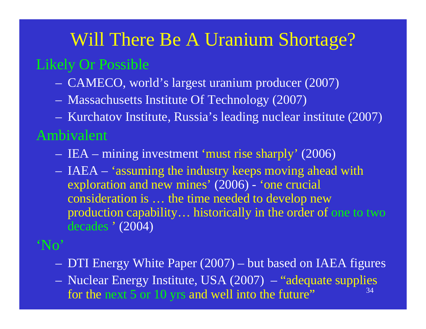## Will There Be A Uranium Shortage? Likely Or Possible

- $\mathcal{L}_{\mathcal{A}}$ CAMECO, world's largest uranium producer (2007)
- $\sim$ Massachusetts Institute Of Technology (2007)
- $\mathcal{L}_{\mathcal{A}}$ Kurchatov Institute, Russia's leading nuclear institute (2007)

#### Ambivalent

- $\mathcal{L}_{\mathcal{A}}$ – IEA – mining investment 'must rise sharply' (2006)
- $\sim$  IAEA – 'assuming the industry keeps moving ahead with exploration and new mines' (2006) - 'one crucial consideration is … the time needed to develop new production capability… historically in the order of one to two decades ' (2004)

#### 'No'

- $\mathcal{L}_{\mathcal{A}}$ DTI Energy White Paper (2007) – but based on IAEA figures
- 34 $\sim$  Nuclear Energy Institute, USA (2007) – "adequate supplies for the next 5 or 10 yrs and well into the future"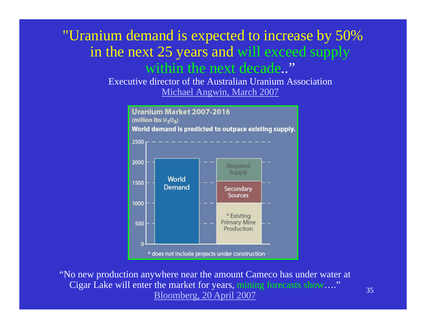#### "Uranium demand is expected to increase by 50% in the next 25 years and will exceed supply within the next decade.."

Executive director of the Australian Uranium Association[Michael Angwin, March 2007](http://www.mineweb.net/mineweb/view/mineweb/en/page38?oid=18499&sn=Detail)



"No new production anywhere near the amount Cameco has under water at Cigar Lake will enter the market for years, mining forecasts show…." [Bloomberg, 20 April 2007](http://www.bloomberg.com/apps/news?pid=20601082&sid=ajq9ZHtjqi.U)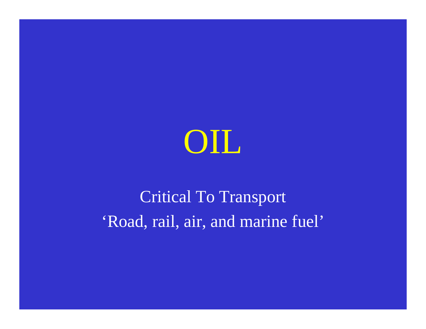

## Critical To Transport 'Road, rail, air, and marine fuel'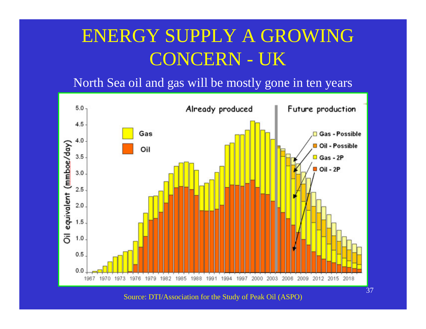## ENERGY SUPPLY A GROWING CONCERN - UK

North Sea oil and gas will be mostly gone in ten years



Source: DTI/Association for the Study of Peak Oil (ASPO)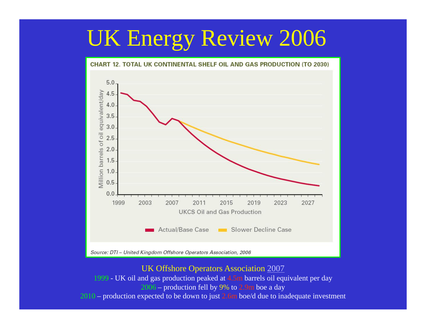# UK Energy Review 2006



Source: DTI - United Kingdom Offshore Operators Association, 2006

UK Offshore Operators Association [2007](http://www.ft.com/cms/s/2c6bc00c-bb17-11db-bbf3-0000779e2340.html)

1999 - UK oil and gas production peaked at 4.5m barrels oil equivalent per day 2006 – production fell by 9% to 2.9m boe a day 2010 – production expected to be down to just 2.6m boe/d due to inadequate investment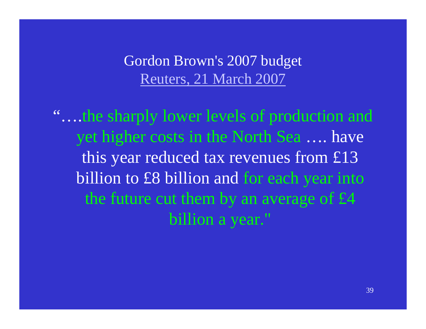Gordon Brown's 2007 budget [Reuters, 21 March 2007](http://today.reuters.co.uk/news/articleinvesting.aspx?type=personalFinanceNews&storyID=2007-03-21T125709Z_01_NOA146078_RTRUKOC_0_BUDGET-GLANCE.xml)

"….the sharply lower levels of production and yet higher costs in the North Sea …. have this year reduced tax revenues from £13 billion to £8 billion and for each year into the future cut them by an average of £4 billion a year."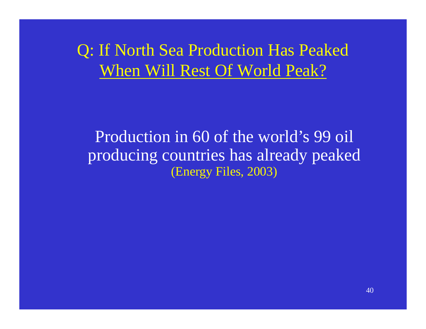Q: If North Sea Production Has Peaked When Will Rest Of World Peak?

Production in 60 of the world's 99 oil producing countries has already peaked (Energy Files, 2003)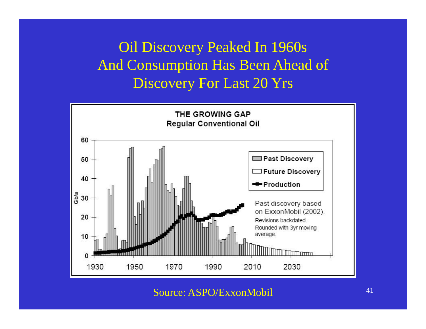#### Oil Discovery Peaked In 1960s And Consumption Has Been Ahead of Discovery For Last 20 Yrs



Source: ASPO/ExxonMobil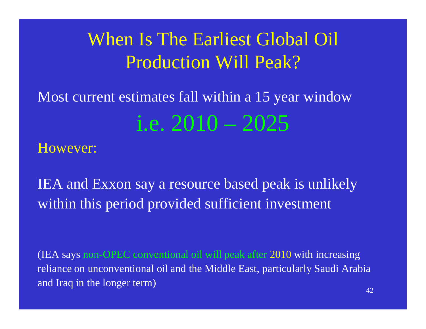## When Is The Earliest Global Oil Production Will Peak?

# Most current estimates fall within a 15 year window i.e. 2010 – 2025

#### However:

IEA and Exxon say a resource based peak is unlikely within this period provided sufficient investment

(IEA says non-OPEC conventional oil will peak after 2010 with increasing reliance on unconventional oil and the Middle East, particularly Saudi Arabia and Iraq in the longer term)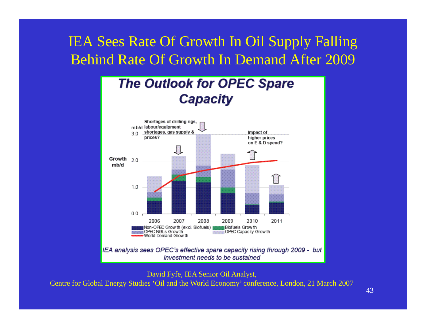#### IEA Sees Rate Of Growth In Oil Supply Falling Behind Rate Of Growth In Demand After 2009



David Fyfe, IEA Senior Oil Analyst, Centre for Global Energy Studies 'Oil and the World Economy' conference, London, 21 March 2007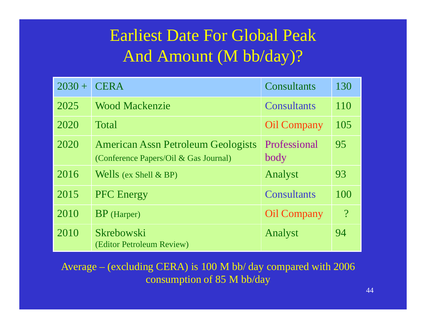### Earliest Date For Global Peak And Amount (M bb/day)?

| $2030 +$ | <b>CERA</b>                                                                        | Consultants          | 130                      |
|----------|------------------------------------------------------------------------------------|----------------------|--------------------------|
| 2025     | <b>Wood Mackenzie</b>                                                              | <b>Consultants</b>   | <b>110</b>               |
| 2020     | <b>Total</b>                                                                       | <b>Oil Company</b>   | 105                      |
| 2020     | <b>American Assn Petroleum Geologists</b><br>(Conference Papers/Oil & Gas Journal) | Professional<br>body | 95                       |
| 2016     | Wells (ex Shell $\&$ BP)                                                           | Analyst              | 93                       |
| 2015     | <b>PFC</b> Energy                                                                  | <b>Consultants</b>   | 100                      |
| 2010     | $BP$ (Harper)                                                                      | <b>Oil Company</b>   | $\overline{\mathcal{C}}$ |
| 2010     | Skrebowski<br>(Editor Petroleum Review)                                            | Analyst              | 94                       |

Average – (excluding CERA) is 100 M bb/ day compared with 2006 consumption of 85 M bb/day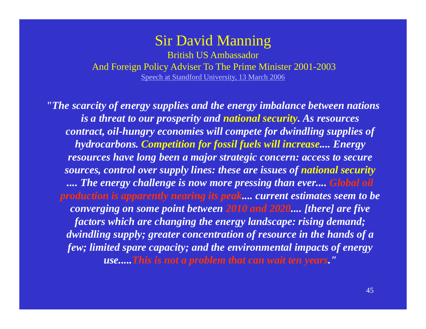#### Sir David Manning

British US AmbassadorAnd Foreign Policy Adviser To The Prime Minister 2001-2003 [Speech at Standford University, 13 March 2006](http://www.britainusa.com/sections/articles_show_nt1.asp?i=60031&L1=60031&L2=60031&a=41435&D=3)

*"The scarcity of energy supplies and the energy imbalance between nations is a threat to our prosperity and national security. As resources contract, oil-hungry economies will compete for dwindling supplies of hydrocarbons. Competition for fossil fuels will increase.... Energy resources have long been a major strategic concern: access to secure sources, control over supply lines: these are issues of national security .... The energy challenge is now more pressing than ever.... Global oil production is apparently nearing its peak.... current estimates seem to be converging on some point between 2010 and 2020.... [there] are five factors which are changing the energy landscape: rising demand; dwindling supply; greater concentration of resource in the hands of a few; limited spare capacity; and the environmental impacts of energy use.....This is not a problem that can wait ten years."*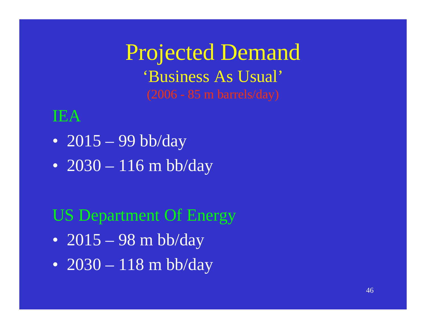Projected Demand 'Business As Usual'

### IEA

- 2015 99 bb/day
- 2030 116 m bb/day

### US Department Of Energy

- 2015 98 m bb/day
- 2030 118 m bb/day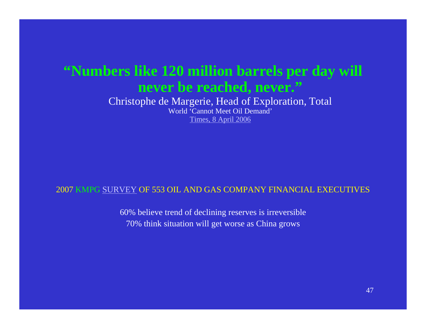#### **"Numbers like 120 million barrels per day will never be reached, never."**

Christophe de Margerie, Head of Exploration, Total World 'Cannot Meet Oil Demand'[Times, 8 April 2006](http://business.timesonline.co.uk/tol/business/industry_sectors/natural_resources/article703204.ece)

#### 2007 KMPG [SURVEY](http://www.energybulletin.net/30106.html) OF 553 OIL AND GAS COMPANY FINANCIAL EXECUTIVES

60% believe trend of declining reserves is irreversible 70% think situation will get worse as China grows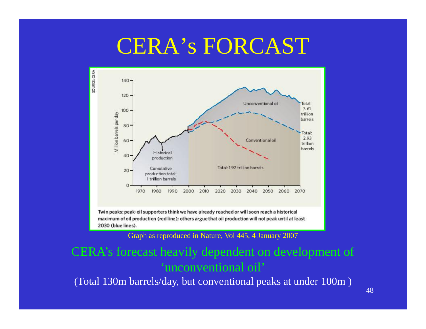## CERA's FORCAST



Graph as reproduced in Nature, Vol 445, 4 January 2007

#### CERA's forecast heavily dependent on development of 'unconventional oil'

(Total 130m barrels/day, but conventional peaks at under 100m )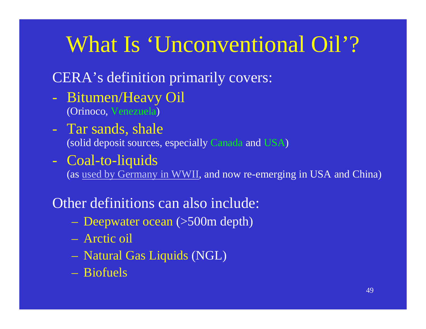# What Is 'Unconventional Oil'?

#### CERA's definition primarily covers:

- Bitumen/Heavy Oil (Orinoco, Venezuela )
- Tar sands, shale (solid deposit sources, especially Canada and USA )
- Coal-to-liquids

(as [used by Germany in WWII](http://www.nytimes.com/2007/05/29/business/29coal.html?ex=1338091200&en=7c0346180c71f4e0&ei=5090&partner=rssuserland&emc=rss), and now re-emerging in USA and China)

Other definitions can also include:

- Deepwater ocean (>500m depth)
- Arctic oil
- <u>– London Starten und der Starten und der Starten und der Starten und der Starten und der Starten und der Starten und der Starten und der Starten und der Starten und der Starten und der Starten und der Starten und der Star</u> Natural Gas Liquids (NGL)
- Biofuels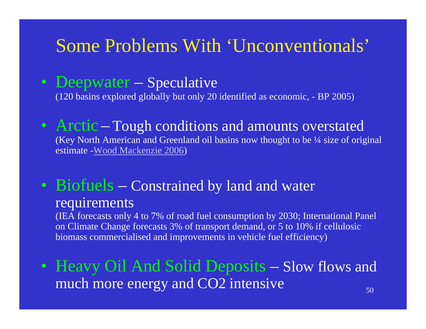### Some Problems With 'Unconventionals'

• Deepwater — Speculative

(120 basins explored globally but only 20 identified as economic, - BP 2005)

• Arctic– Tough conditions and amounts overstated (Key North American and Greenland oil basins now thought to be ¼ size of original estimate -<u>[Wood Mackenzie 2006](http://www.woodmacresearch.com/cgi-bin/corp/portal/corp/corpPressDetail.jsp?oid=751298)</u>)

#### • Biofuels – Constrained by land and water requirements

(IEA forecasts only 4 to 7% of road fuel consumption by 2030; International Panel on Climate Change forecasts 3% of transport demand, or 5 to 10% if cellulosic biomass commercialised and improvements in vehicle fuel efficiency)

• Heavy Oil And Solid Deposits – Slow flows and much more energy and CO2 intensive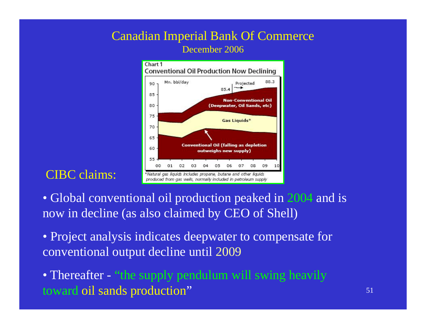#### Canadian Imperial Bank Of Commerce December 2006



#### CIBC claims:

- Global conventional oil production peaked in 2004 and is now in decline (as also claimed by CEO of Shell)
- Project analysis indicates deepwater to compensate for conventional output decline until 2009
- Thereafter "the supply pendulum will swing heavily toward oil sands production"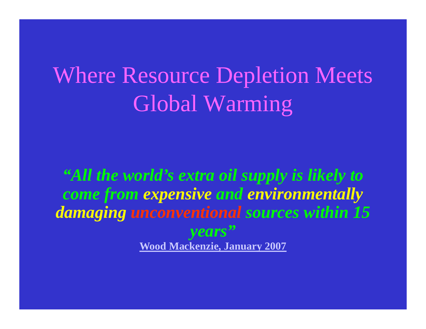# Where Resource Depletion Meets Global Warming

*"All the world's extra oil supply is likely to come from expensive and environmentally damaging unconventional sources within 15 years"* **[Wood Mackenzie, January 2007](http://www.ft.com/cms/s/11ba213e-bf7e-11db-9ac2-000b5df10621.html)**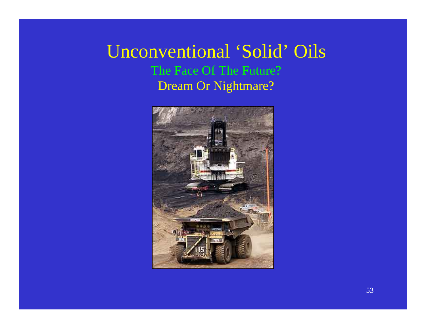#### Unconventional 'Solid' Oils The Face Of The Future? Dream Or Nightmare?

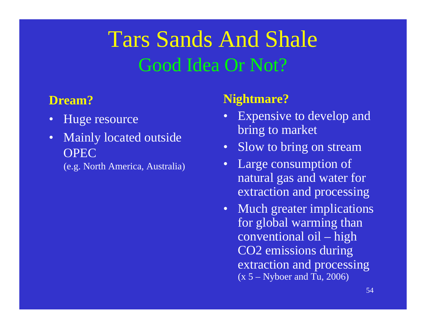## Tars Sands And Shale Good Idea Or Not?

#### **Dream?**

- $\bullet$ Huge resource
- $\bullet$  Mainly located outside **OPEC** 
	- (e.g. North America, Australia)

#### **Nightmare?**

- $\bullet$  Expensive to develop and bring to market
- $\bullet$ Slow to bring on stream
- $\bullet$  Large consumption of natural gas and water for extraction and processing
- $\bullet$  Much greater implications for global warming than conventional oil – high CO2 emissions during extraction and processing  $(x 5 - Nyboer and Tu, 2006)$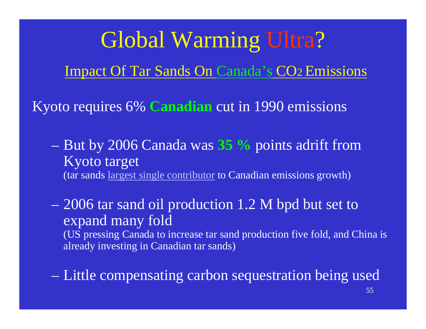Global Warming Ultra ? Impact Of Tar Sands On Canada's CO2 Emissions

Kyoto requires 6% **Canadian** cut in 1990 emissions

 But by 2006 Canada was **35 %** points adrift from Kyoto target (tar sands [largest single contributor](http://www.guardian.co.uk/comment/story/0,,2092750,00.html) to Canadian emissions growth)

– 2006 tar sand oil production 1.2 M bpd but set to expand many fold

(US pressing Canada to increase tar sand production five fold, and China is already investing in Canadian tar sands)

Little compensating carbon sequestration being used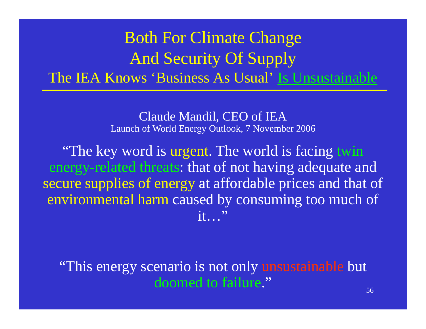### Both For Climate Change And Security Of Supply The IEA Knows 'Business As Usual' Is Unsustainable

Claude Mandil, CEO of IEA Launch of World Energy Outlook, 7 November 2006

"The key word is urgent. The world is facing twin energy-related threats: that of not having adequate and secure supplies of energy at affordable prices and that of environmental harm caused by consuming too much of it…"

"This energy scenario is not only unsustainable but doomed to failure."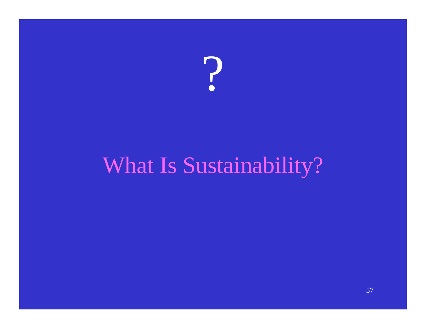

# What Is Sustainability?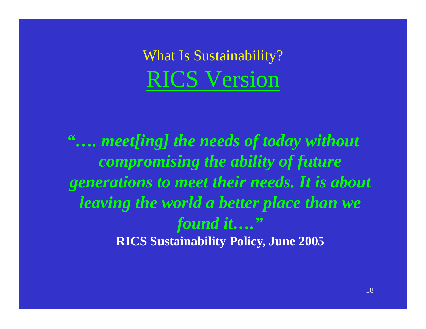What Is Sustainability? RICS Version

*"…. meet[ing] the needs of today without compromising the ability of future generations to meet their needs. It is about leaving the world a better place than we found it…."* **RICS Sustainability Policy, June 2005**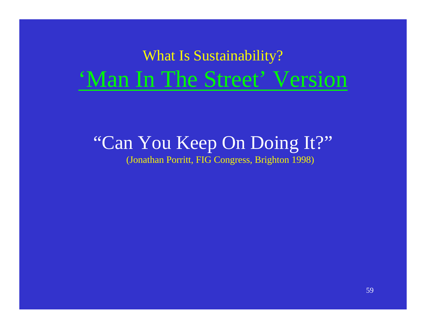## What Is Sustainability? 'Man In The Street' Version

#### "Can You Keep On Doing It?" (Jonathan Porritt, FIG Congress, Brighton 1998)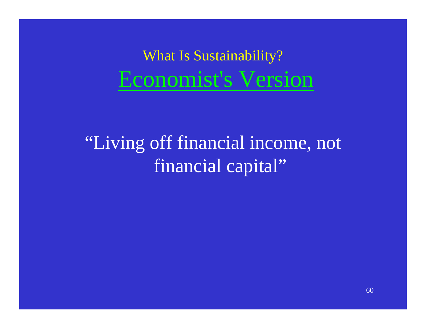What Is Sustainability? Economist's Version

"Living off financial income, not financial capital"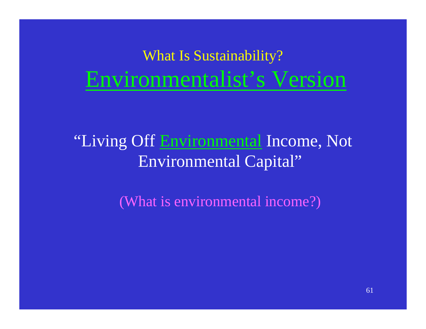## What Is Sustainability? Environmentalist's Version

### "Living Off Environmental Income, Not Environmental Capital"

(What is environmental income?)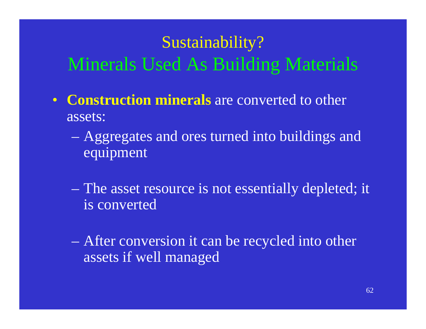## Sustainability? Minerals Used As Building Materials

- $\bullet$  **Construction minerals** are converted to other assets:
	- Aggregates and ores turned into buildings and equipment
	- The asset resource is not essentially depleted; it is converted
	- After conversion it can be recycled into other assets if well managed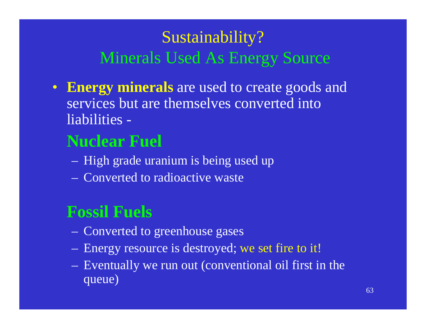### Sustainability? Minerals Used As Energy Source

• **Energy minerals** are used to create goods and services but are themselves converted into liabilities -

### **Nuclear Fuel**

- $\mathcal{L}_{\mathcal{A}}$  $-$  High grade uranium is being used up
- Converted to radioactive waste

### **Fossil Fuels**

- **London Maria (1985)** Converted to greenhouse gases
- $\mathcal{L}_{\mathcal{A}}$ Energy resource is destroyed; we set fire to it!
- **London Maria (1985)**  Eventually we run out (conventional oil first in the queue)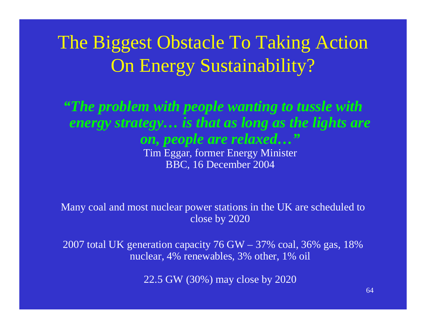## The Biggest Obstacle To Taking Action On Energy Sustainability?

#### *"The problem with people wanting to tussle with energy strategy… is that as long as the lights are on, people are relaxed…"* Tim Eggar, former Energy Minister BBC, 16 December 2004

Many coal and most nuclear power stations in the UK are scheduled to close by 2020

2007 total UK generation capacity 76 GW – 37% coal, 36% gas, 18% nuclear, 4% renewables, 3% other, 1% oil

22.5 GW (30%) may close by 2020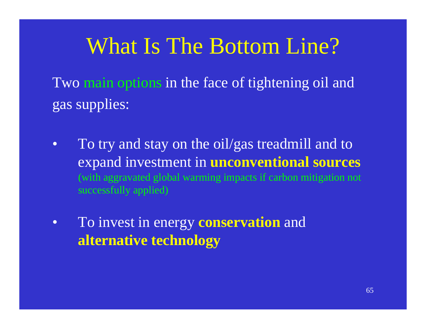## What Is The Bottom Line?

Two main options in the face of tightening oil and gas supplies:

- • To try and stay on the oil/gas treadmill and to expand investment in **unconventional sources** (with aggravated global warming impacts if carbon mitigation not successfully applied)
- $\bullet$  To invest in energy **conservation** and **alternative technology**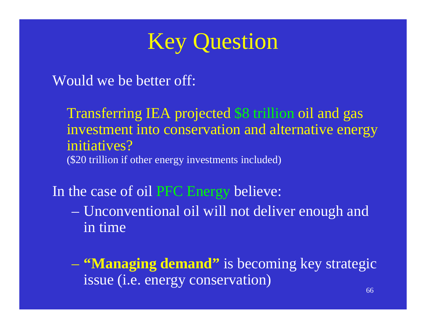

Would we be better off:

Transferring IEA projected \$8 trillion oil and gas investment into conservation and alternative energy initiatives?(\$20 trillion if other energy investments included)

In the case of oil PFC Energy believe:

 Unconventional oil will not deliver enough and in time

 **"Managing demand"** is becoming key strategic issue (i.e. energy conservation)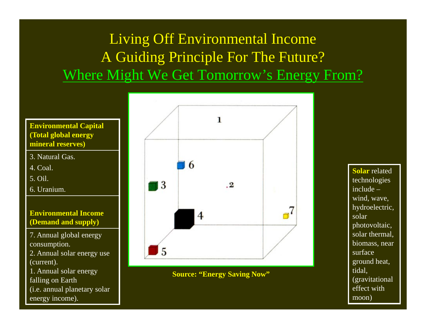### Living Off Environmental Income A Guiding Principle For The Future? Where Might We Get Tomorrow's Energy From?



- 3. Natural Gas.
- 4. Coal.
- 5. Oil.
- 6. Uranium.

#### **Environmental Income (Demand and supply)**

- 7. Annual global energy consumption.
- 2. Annual solar energy use (current).
- 1. Annual solar energy falling on Earth (i.e. annual planetary solar
- energy income).



**Source: "Energy Saving Now"**

**Solar** related technologies include –wind, wave, hydroelectric, solar photovoltaic, solar thermal, biomass, near surface ground heat, tidal, (gravitational effect with moon)